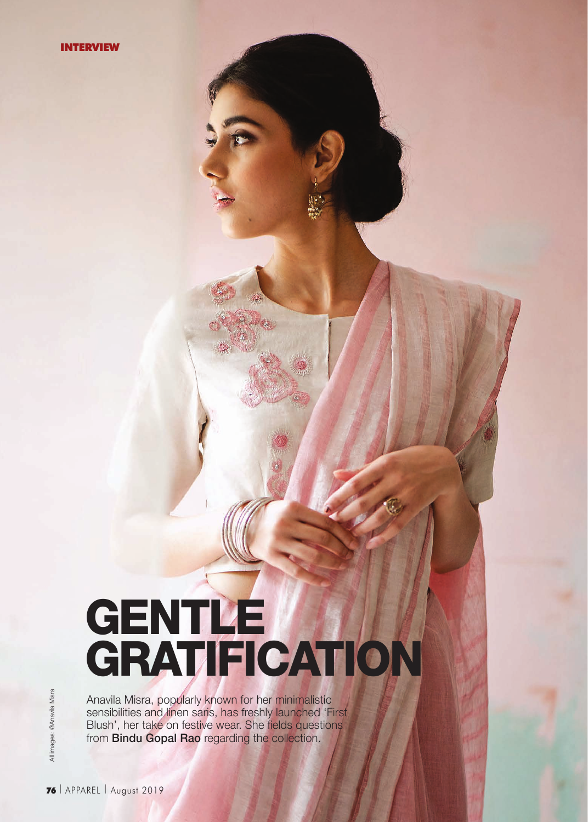# GENTLE GRATIFICATION

Anavila Misra, popularly known for her minimalistic sensibilities and linen saris, has freshly launched 'First Blush', her take on festive wear. She fields questions from **Bindu Gopal Rao** regarding the collection.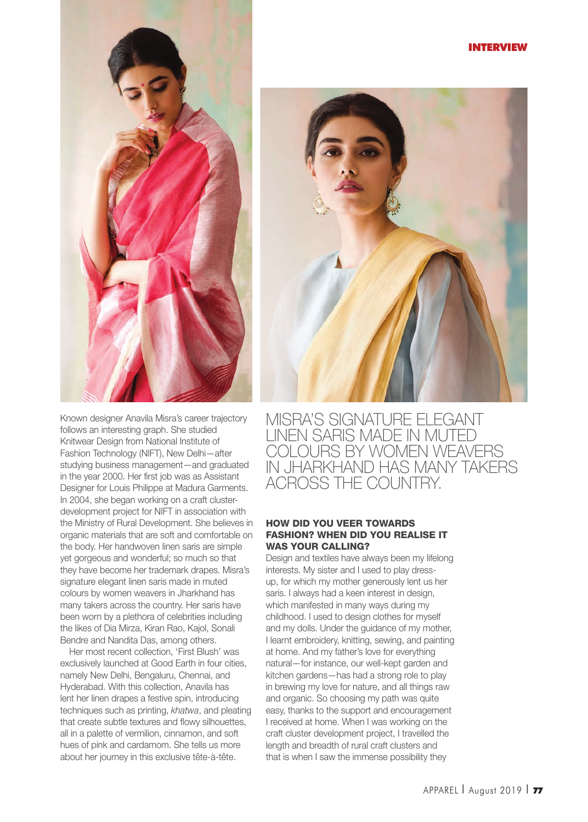#### INTERVIEW



Known designer Anavila Misra's career trajectory follows an interesting graph. She studied Knitwear Design from National Institute of Fashion Technology (NIFT), New Delhi—after studying business management—and graduated in the year 2000. Her first job was as Assistant Designer for Louis Philippe at Madura Garments. In 2004, she began working on a craft clusterdevelopment project for NIFT in association with the Ministry of Rural Development. She believes in organic materials that are soft and comfortable on the body. Her handwoven linen saris are simple yet gorgeous and wonderful; so much so that they have become her trademark drapes. Misra's signature elegant linen saris made in muted colours by women weavers in Jharkhand has many takers across the country. Her saris have been worn by a plethora of celebrities including the likes of Dia Mirza, Kiran Rao, Kajol, Sonali Bendre and Nandita Das, among others.

Her most recent collection, 'First Blush' was exclusively launched at Good Earth in four cities, namely New Delhi, Bengaluru, Chennai, and Hyderabad. With this collection, Anavila has lent her linen drapes a festive spin, introducing techniques such as printing, khatwa, and pleating that create subtle textures and flowy silhouettes, all in a palette of vermilion, cinnamon, and soft hues of pink and cardamom. She tells us more about her journey in this exclusive tête-à-tête.



MISRA'S SIGNATURE ELEGANT LINEN SARIS MADE IN MUTED COLOURS BY WOMEN WEAVERS IN JHARKHAND HAS MANY TAKERS ACROSS THE COUNTRY.

# HOW DID YOU VEER TOWARDS FASHION? WHEN DID YOU REALISE IT WAS YOUR CALLING?

Design and textiles have always been my lifelong interests. My sister and I used to play dressup, for which my mother generously lent us her saris. I always had a keen interest in design, which manifested in many ways during my childhood. I used to design clothes for myself and my dolls. Under the guidance of my mother, I learnt embroidery, knitting, sewing, and painting at home. And my father's love for everything natural—for instance, our well-kept garden and kitchen gardens—has had a strong role to play in brewing my love for nature, and all things raw and organic. So choosing my path was quite easy, thanks to the support and encouragement I received at home. When I was working on the craft cluster development project, I travelled the length and breadth of rural craft clusters and that is when I saw the immense possibility they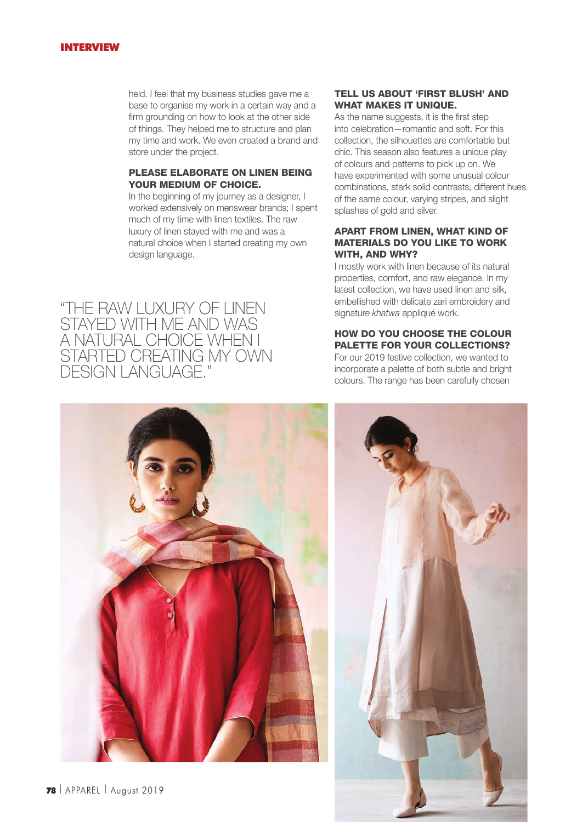#### INTERVIEW

held. I feel that my business studies gave me a base to organise my work in a certain way and a firm grounding on how to look at the other side of things. They helped me to structure and plan my time and work. We even created a brand and store under the project.

#### PLEASE ELABORATE ON LINEN BEING YOUR MEDIUM OF CHOICE.

In the beginning of my journey as a designer, I worked extensively on menswear brands; I spent much of my time with linen textiles. The raw luxury of linen stayed with me and was a natural choice when I started creating my own design language.

"THE RAW LUXURY OF LINEN STAYED WITH ME AND WAS A NATURAL CHOICE WHEN I STARTED CREATING MY OWN DESIGN LANGUAGE."

# TELL US ABOUT 'FIRST BLUSH' AND WHAT MAKES IT UNIQUE.

As the name suggests, it is the first step into celebration—romantic and soft. For this collection, the silhouettes are comfortable but chic. This season also features a unique play of colours and patterns to pick up on. We have experimented with some unusual colour combinations, stark solid contrasts, different hues of the same colour, varying stripes, and slight splashes of gold and silver.

# APART FROM LINEN, WHAT KIND OF MATERIALS DO YOU LIKE TO WORK WITH, AND WHY?

I mostly work with linen because of its natural properties, comfort, and raw elegance. In my latest collection, we have used linen and silk, embellished with delicate zari embroidery and signature khatwa appliqué work.

# HOW DO YOU CHOOSE THE COLOUR PALETTE FOR YOUR COLLECTIONS?

For our 2019 festive collection, we wanted to incorporate a palette of both subtle and bright colours. The range has been carefully chosen



<sup>78</sup> I APPAREL I August 2019